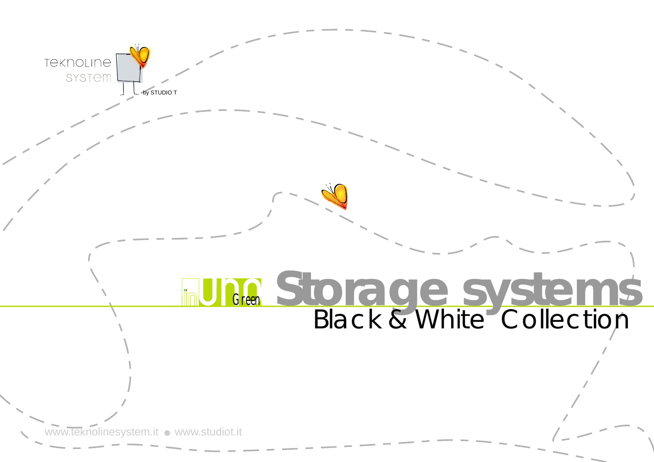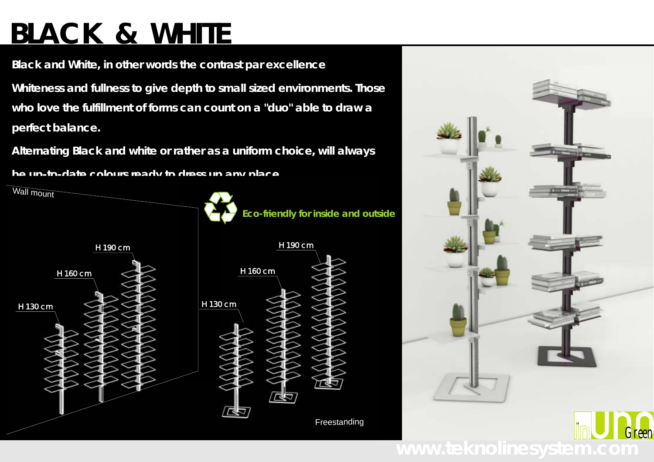# **BLACK & WHITE**

**Black and White, in other words the contrast par excellence Whiteness and fullness to give depth to small sized environments. Those who love the fulfillment of forms can count on a "duo" able to draw a perfect balance.**

**Alternating Black and white or rather as a uniform choice, will always**

**be up-to-date colours ready to dress up any place.**



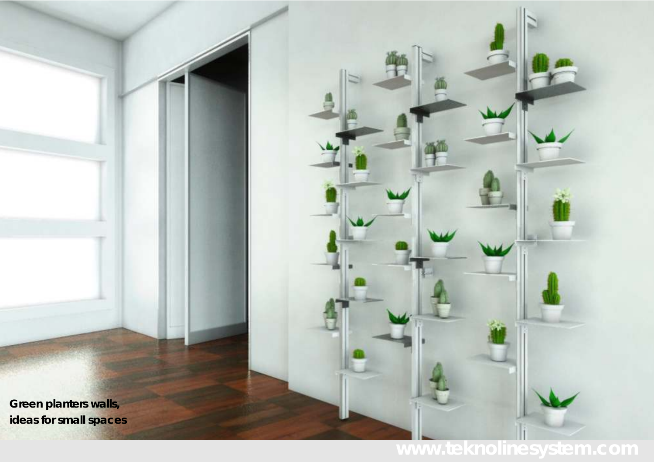**Green planters walls, ideas for small spaces** 

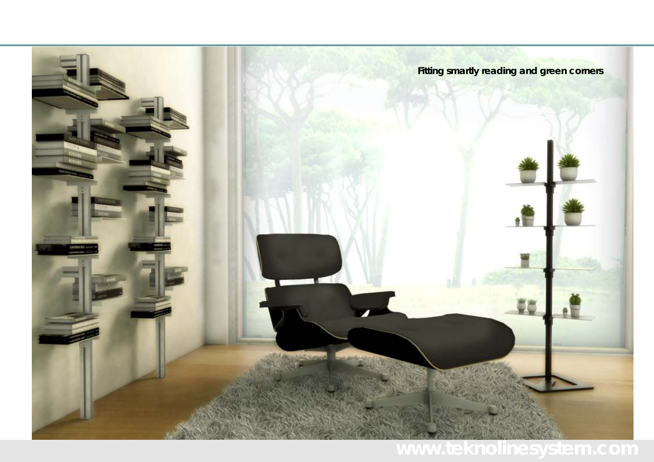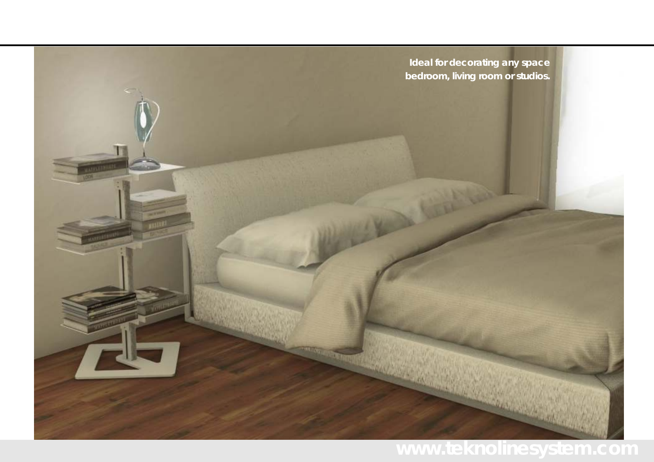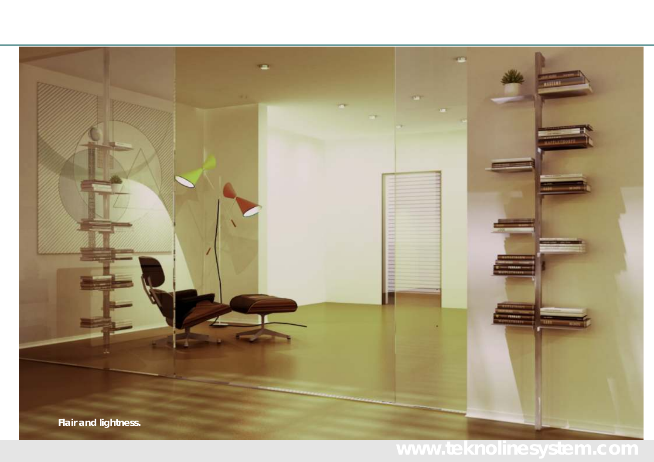

### **www.teknolinesystem.com**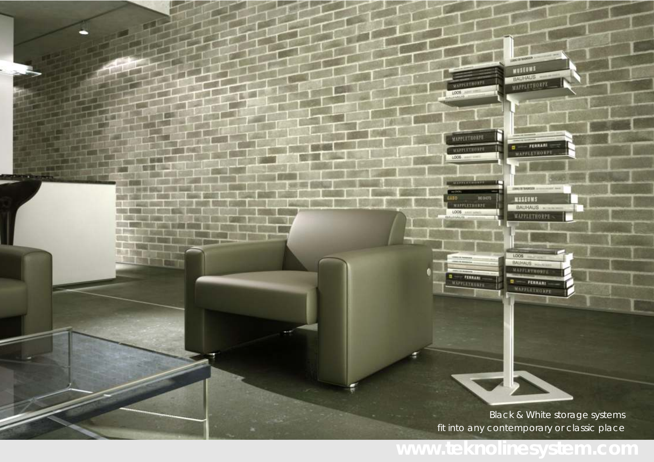*Black & White* storage systems fit into any contemporary or classic place

193, 33, 33, 33, 33 WUSEUMS BAUHAUS WAPPLE FRONTE

**COMMENT** 

**MUSEUMS** BAUHAUS -

LOOS

BAUHAUG MARKETHORTE

 $= 1$ WAPPERTHOMPT

**MAPPLETHORPH** 

**MAPPLETHORPH** 

MAPPLE : HORP  $\frac{1008}{1000}$ 

**MAPPLETHORPE** 

WAPPLETHOMPS

**PERMITTEN** 

MAPPLETHORPH

**G FERRARI -**<br>MAPPLEYHDAPE

809015

LOOS

taso

**SECTION** 

**BERGER** 

a pin se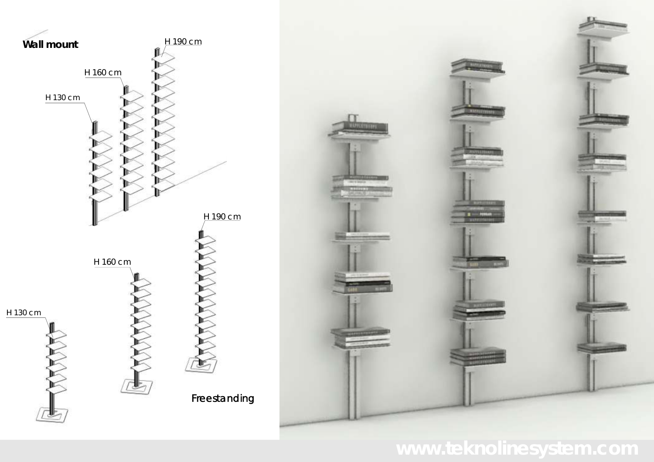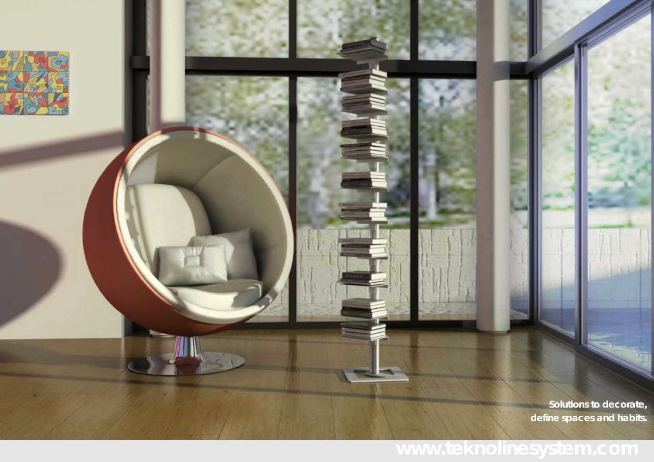**Solutions to decorate, define spaces and habits.**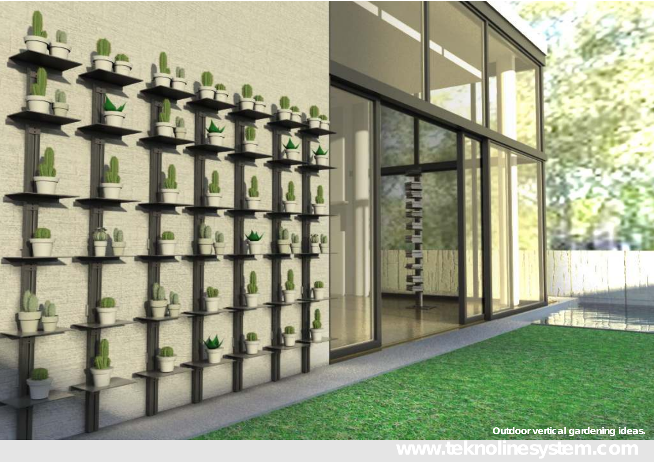